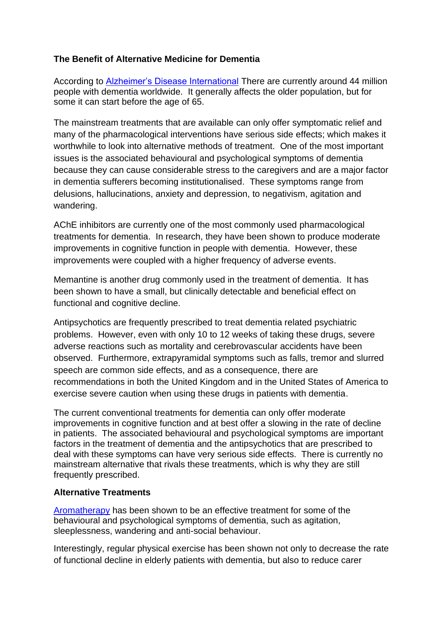## **The Benefit of Alternative Medicine for Dementia**

According to [Alzheimer's Disease International](http://www.alz.co.uk/research/statistics) There are currently around 44 million people with dementia worldwide. It generally affects the older population, but for some it can start before the age of 65.

The mainstream treatments that are available can only offer symptomatic relief and many of the pharmacological interventions have serious side effects; which makes it worthwhile to look into alternative methods of treatment. One of the most important issues is the associated behavioural and psychological symptoms of dementia because they can cause considerable stress to the caregivers and are a major factor in dementia sufferers becoming institutionalised. These symptoms range from delusions, hallucinations, anxiety and depression, to negativism, agitation and wandering.

AChE inhibitors are currently one of the most commonly used pharmacological treatments for dementia. In research, they have been shown to produce moderate improvements in cognitive function in people with dementia. However, these improvements were coupled with a higher frequency of adverse events.

Memantine is another drug commonly used in the treatment of dementia. It has been shown to have a small, but clinically detectable and beneficial effect on functional and cognitive decline.

Antipsychotics are frequently prescribed to treat dementia related psychiatric problems. However, even with only 10 to 12 weeks of taking these drugs, severe adverse reactions such as mortality and cerebrovascular accidents have been observed. Furthermore, extrapyramidal symptoms such as falls, tremor and slurred speech are common side effects, and as a consequence, there are recommendations in both the United Kingdom and in the United States of America to exercise severe caution when using these drugs in patients with dementia.

The current conventional treatments for dementia can only offer moderate improvements in cognitive function and at best offer a slowing in the rate of decline in patients. The associated behavioural and psychological symptoms are important factors in the treatment of dementia and the antipsychotics that are prescribed to deal with these symptoms can have very serious side effects. There is currently no mainstream alternative that rivals these treatments, which is why they are still frequently prescribed.

## **Alternative Treatments**

[Aromatherapy](http://alzheimers.org.uk/site/scripts/documents_info.php?documentID=306&pageNumber=2) has been shown to be an effective treatment for some of the behavioural and psychological symptoms of dementia, such as agitation, sleeplessness, wandering and anti-social behaviour.

Interestingly, regular physical exercise has been shown not only to decrease the rate of functional decline in elderly patients with dementia, but also to reduce carer